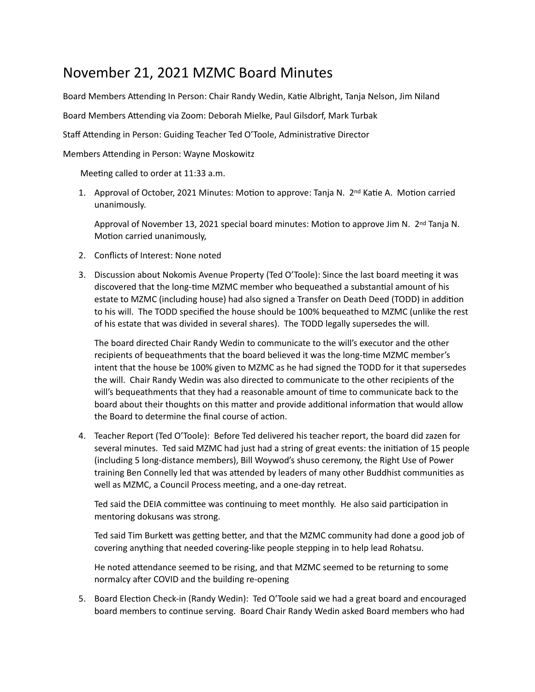## November 21, 2021 MZMC Board Minutes

Board Members Attending In Person: Chair Randy Wedin, Katie Albright, Tanja Nelson, Jim Niland

Board Members Attending via Zoom: Deborah Mielke, Paul Gilsdorf, Mark Turbak

Staff Attending in Person: Guiding Teacher Ted O'Toole, Administrative Director

Members Attending in Person: Wayne Moskowitz

Meeting called to order at 11:33 a.m.

1. Approval of October, 2021 Minutes: Motion to approve: Tanja N.  $2^{nd}$  Katie A. Motion carried unanimously. 

Approval of November 13, 2021 special board minutes: Motion to approve Jim N.  $2^{nd}$  Tanja N. Motion carried unanimously,

- 2. Conflicts of Interest: None noted
- 3. Discussion about Nokomis Avenue Property (Ted O'Toole): Since the last board meeting it was discovered that the long-time MZMC member who bequeathed a substantial amount of his estate to MZMC (including house) had also signed a Transfer on Death Deed (TODD) in addition to his will. The TODD specified the house should be 100% bequeathed to MZMC (unlike the rest of his estate that was divided in several shares). The TODD legally supersedes the will.

The board directed Chair Randy Wedin to communicate to the will's executor and the other recipients of bequeathments that the board believed it was the long-time MZMC member's intent that the house be 100% given to MZMC as he had signed the TODD for it that supersedes the will. Chair Randy Wedin was also directed to communicate to the other recipients of the will's bequeathments that they had a reasonable amount of time to communicate back to the board about their thoughts on this matter and provide additional information that would allow the Board to determine the final course of action.

4. Teacher Report (Ted O'Toole): Before Ted delivered his teacher report, the board did zazen for several minutes. Ted said MZMC had just had a string of great events: the initiation of 15 people (including 5 long-distance members), Bill Woywod's shuso ceremony, the Right Use of Power training Ben Connelly led that was attended by leaders of many other Buddhist communities as well as MZMC, a Council Process meeting, and a one-day retreat.

Ted said the DEIA committee was continuing to meet monthly. He also said participation in mentoring dokusans was strong.

Ted said Tim Burkett was getting better, and that the MZMC community had done a good job of covering anything that needed covering-like people stepping in to help lead Rohatsu.

He noted attendance seemed to be rising, and that MZMC seemed to be returning to some normalcy after COVID and the building re-opening

5. Board Election Check-in (Randy Wedin): Ted O'Toole said we had a great board and encouraged board members to continue serving. Board Chair Randy Wedin asked Board members who had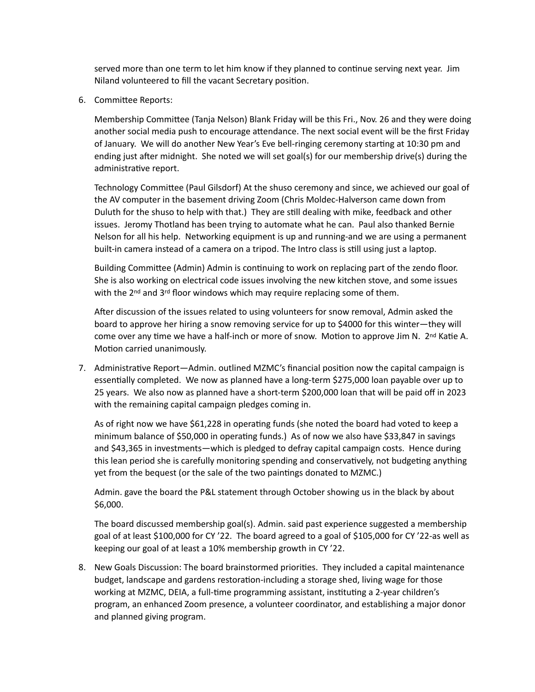served more than one term to let him know if they planned to continue serving next year. Jim Niland volunteered to fill the vacant Secretary position.

6. Committee Reports:

Membership Committee (Tanja Nelson) Blank Friday will be this Fri., Nov. 26 and they were doing another social media push to encourage attendance. The next social event will be the first Friday of January. We will do another New Year's Eve bell-ringing ceremony starting at 10:30 pm and ending just after midnight. She noted we will set goal(s) for our membership drive(s) during the administrative report.

Technology Committee (Paul Gilsdorf) At the shuso ceremony and since, we achieved our goal of the AV computer in the basement driving Zoom (Chris Moldec-Halverson came down from Duluth for the shuso to help with that.) They are still dealing with mike, feedback and other issues. Jeromy Thotland has been trying to automate what he can. Paul also thanked Bernie Nelson for all his help. Networking equipment is up and running-and we are using a permanent built-in camera instead of a camera on a tripod. The Intro class is still using just a laptop.

Building Committee (Admin) Admin is continuing to work on replacing part of the zendo floor. She is also working on electrical code issues involving the new kitchen stove, and some issues with the 2<sup>nd</sup> and 3<sup>rd</sup> floor windows which may require replacing some of them.

After discussion of the issues related to using volunteers for snow removal, Admin asked the board to approve her hiring a snow removing service for up to \$4000 for this winter—they will come over any time we have a half-inch or more of snow. Motion to approve Jim N. 2<sup>nd</sup> Katie A. Motion carried unanimously.

7. Administrative Report—Admin. outlined MZMC's financial position now the capital campaign is essentially completed. We now as planned have a long-term \$275,000 loan payable over up to 25 years. We also now as planned have a short-term \$200,000 loan that will be paid off in 2023 with the remaining capital campaign pledges coming in.

As of right now we have \$61,228 in operating funds (she noted the board had voted to keep a minimum balance of \$50,000 in operating funds.) As of now we also have \$33,847 in savings and \$43,365 in investments—which is pledged to defray capital campaign costs. Hence during this lean period she is carefully monitoring spending and conservatively, not budgeting anything yet from the bequest (or the sale of the two paintings donated to MZMC.)

Admin. gave the board the P&L statement through October showing us in the black by about \$6,000. 

The board discussed membership goal(s). Admin. said past experience suggested a membership goal of at least \$100,000 for CY '22. The board agreed to a goal of \$105,000 for CY '22-as well as keeping our goal of at least a 10% membership growth in CY '22.

8. New Goals Discussion: The board brainstormed priorities. They included a capital maintenance budget, landscape and gardens restoration-including a storage shed, living wage for those working at MZMC, DEIA, a full-time programming assistant, instituting a 2-year children's program, an enhanced Zoom presence, a volunteer coordinator, and establishing a major donor and planned giving program.